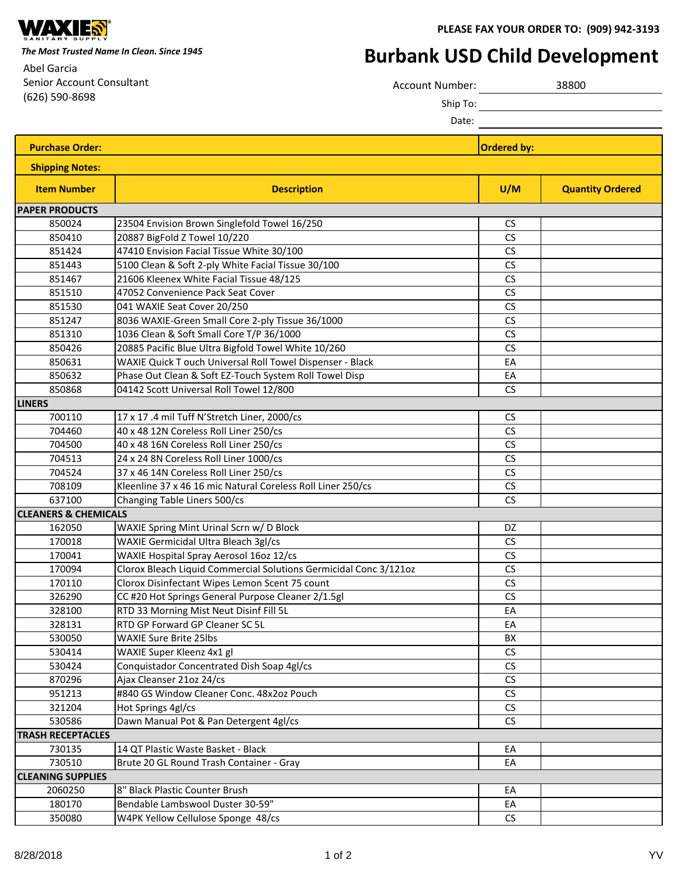

**PLEASE FAX YOUR ORDER TO: (909) 942-3193**

*The Most Trusted Name In Clean. Since 1945*

Abel Garcia Senior Account Consultant (626) 590-8698

## **Burbank USD Child Development**

| Account Number: | 38800 |
|-----------------|-------|
| Ship To:        |       |

Date:

| <b>Purchase Order:</b>          |                                                                   | <b>Ordered by:</b>   |                         |  |  |
|---------------------------------|-------------------------------------------------------------------|----------------------|-------------------------|--|--|
| <b>Shipping Notes:</b>          |                                                                   |                      |                         |  |  |
| <b>Item Number</b>              | <b>Description</b>                                                | U/M                  | <b>Quantity Ordered</b> |  |  |
| <b>PAPER PRODUCTS</b>           |                                                                   |                      |                         |  |  |
| 850024                          | 23504 Envision Brown Singlefold Towel 16/250                      | <b>CS</b>            |                         |  |  |
| 850410                          | 20887 BigFold Z Towel 10/220                                      | CS                   |                         |  |  |
| 851424                          | 47410 Envision Facial Tissue White 30/100                         | CS                   |                         |  |  |
| 851443                          | 5100 Clean & Soft 2-ply White Facial Tissue 30/100                | CS                   |                         |  |  |
| 851467                          | 21606 Kleenex White Facial Tissue 48/125                          | CS                   |                         |  |  |
| 851510                          | 47052 Convenience Pack Seat Cover                                 | CS                   |                         |  |  |
| 851530                          | 041 WAXIE Seat Cover 20/250                                       | CS                   |                         |  |  |
| 851247                          | 8036 WAXIE-Green Small Core 2-ply Tissue 36/1000                  | CS                   |                         |  |  |
| 851310                          | 1036 Clean & Soft Small Core T/P 36/1000                          | CS                   |                         |  |  |
| 850426                          | 20885 Pacific Blue Ultra Bigfold Towel White 10/260               | CS                   |                         |  |  |
| 850631                          | WAXIE Quick T ouch Universal Roll Towel Dispenser - Black         | EA                   |                         |  |  |
| 850632                          | Phase Out Clean & Soft EZ-Touch System Roll Towel Disp            | EA                   |                         |  |  |
| 850868                          | 04142 Scott Universal Roll Towel 12/800                           | CS                   |                         |  |  |
| <b>LINERS</b>                   |                                                                   |                      |                         |  |  |
| 700110                          | 17 x 17 .4 mil Tuff N'Stretch Liner, 2000/cs                      | <b>CS</b>            |                         |  |  |
| 704460                          | 40 x 48 12N Coreless Roll Liner 250/cs                            | CS                   |                         |  |  |
| 704500                          | 40 x 48 16N Coreless Roll Liner 250/cs                            | CS                   |                         |  |  |
| 704513                          | 24 x 24 8N Coreless Roll Liner 1000/cs                            | CS                   |                         |  |  |
| 704524                          | 37 x 46 14N Coreless Roll Liner 250/cs                            | CS                   |                         |  |  |
| 708109                          | Kleenline 37 x 46 16 mic Natural Coreless Roll Liner 250/cs       | CS                   |                         |  |  |
| 637100                          | Changing Table Liners 500/cs                                      | CS                   |                         |  |  |
| <b>CLEANERS &amp; CHEMICALS</b> |                                                                   |                      |                         |  |  |
| 162050                          | WAXIE Spring Mint Urinal Scrn w/ D Block                          | DZ                   |                         |  |  |
| 170018                          | WAXIE Germicidal Ultra Bleach 3gl/cs                              | CS                   |                         |  |  |
| 170041                          | WAXIE Hospital Spray Aerosol 16oz 12/cs                           | CS                   |                         |  |  |
| 170094                          | Clorox Bleach Liquid Commercial Solutions Germicidal Conc 3/121oz | CS                   |                         |  |  |
| 170110                          | Clorox Disinfectant Wipes Lemon Scent 75 count                    | CS                   |                         |  |  |
| 326290                          | CC #20 Hot Springs General Purpose Cleaner 2/1.5gl                | $\mathsf{CS}\xspace$ |                         |  |  |
| 328100                          | RTD 33 Morning Mist Neut Disinf Fill 5L                           | EA                   |                         |  |  |
| 328131                          | RTD GP Forward GP Cleaner SC 5L                                   | EA                   |                         |  |  |
| 530050                          | <b>WAXIE Sure Brite 25lbs</b>                                     | BX                   |                         |  |  |
| 530414                          | WAXIE Super Kleenz 4x1 gl                                         | CS                   |                         |  |  |
| 530424                          | Conquistador Concentrated Dish Soap 4gl/cs                        | CS                   |                         |  |  |
| 870296                          | Ajax Cleanser 21oz 24/cs                                          | $\mathsf{CS}\xspace$ |                         |  |  |
| 951213                          | #840 GS Window Cleaner Conc. 48x2oz Pouch                         | CS                   |                         |  |  |
| 321204                          | Hot Springs 4gl/cs                                                | CS                   |                         |  |  |
| 530586                          | Dawn Manual Pot & Pan Detergent 4gl/cs                            | CS                   |                         |  |  |
| <b>TRASH RECEPTACLES</b>        |                                                                   |                      |                         |  |  |
| 730135                          | 14 QT Plastic Waste Basket - Black                                | EA                   |                         |  |  |
| 730510                          | Brute 20 GL Round Trash Container - Gray                          | EA                   |                         |  |  |
| <b>CLEANING SUPPLIES</b>        |                                                                   |                      |                         |  |  |
| 2060250                         | 8" Black Plastic Counter Brush                                    | EA                   |                         |  |  |
| 180170                          | Bendable Lambswool Duster 30-59"                                  | EA                   |                         |  |  |
| 350080                          | W4PK Yellow Cellulose Sponge 48/cs                                | CS                   |                         |  |  |